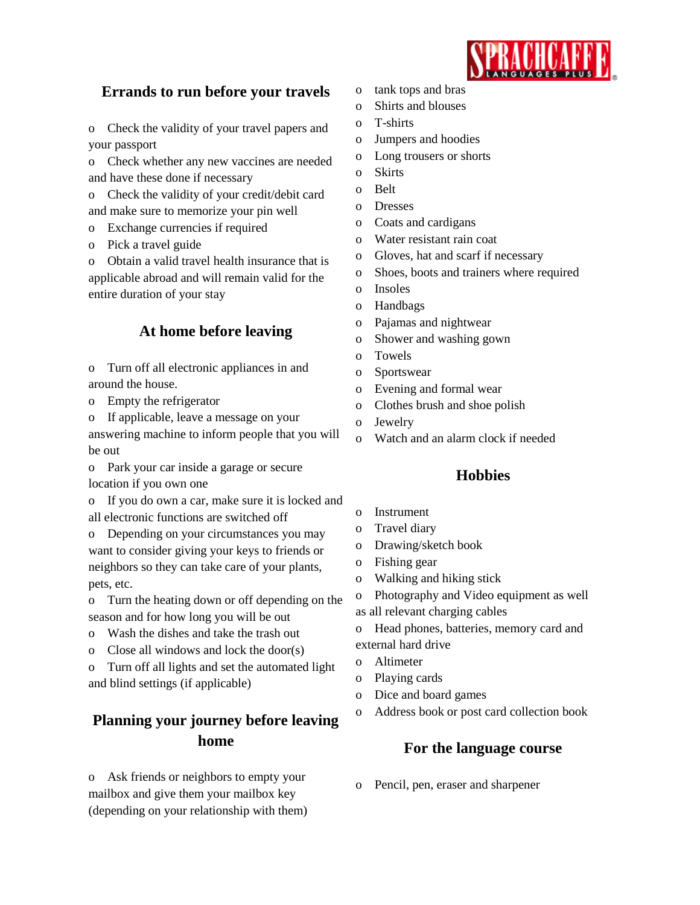

## **Errands to run before your travels**

o Check the validity of your travel papers and your passport

o Check whether any new vaccines are needed and have these done if necessary

o Check the validity of your credit/debit card and make sure to memorize your pin well

- o Exchange currencies if required
- o Pick a travel guide

o Obtain a valid travel health insurance that is applicable abroad and will remain valid for the entire duration of your stay

## **At home before leaving**

o Turn off all electronic appliances in and around the house.

o Empty the refrigerator

o If applicable, leave a message on your

answering machine to inform people that you will be out

o Park your car inside a garage or secure location if you own one

o If you do own a car, make sure it is locked and all electronic functions are switched off

o Depending on your circumstances you may want to consider giving your keys to friends or neighbors so they can take care of your plants, pets, etc.

o Turn the heating down or off depending on the season and for how long you will be out

- o Wash the dishes and take the trash out
- o Close all windows and lock the door(s)

o Turn off all lights and set the automated light and blind settings (if applicable)

# **Planning your journey before leaving home**

o Ask friends or neighbors to empty your mailbox and give them your mailbox key (depending on your relationship with them)

- o tank tops and bras
- o Shirts and blouses
- o T-shirts
- o Jumpers and hoodies
- o Long trousers or shorts
- o Skirts
- o Belt
- o Dresses
- o Coats and cardigans
- o Water resistant rain coat
- o Gloves, hat and scarf if necessary
- o Shoes, boots and trainers where required
- o Insoles
- o Handbags
- o Pajamas and nightwear
- o Shower and washing gown
- o Towels
- o Sportswear
- o Evening and formal wear
- o Clothes brush and shoe polish
- o Jewelry
- o Watch and an alarm clock if needed

### **Hobbies**

- o Instrument
- o Travel diary
- o Drawing/sketch book
- o Fishing gear
- o Walking and hiking stick
- o Photography and Video equipment as well
- as all relevant charging cables
- o Head phones, batteries, memory card and external hard drive
- o Altimeter
- o Playing cards
- o Dice and board games
- Address book or post card collection book

### **For the language course**

o Pencil, pen, eraser and sharpener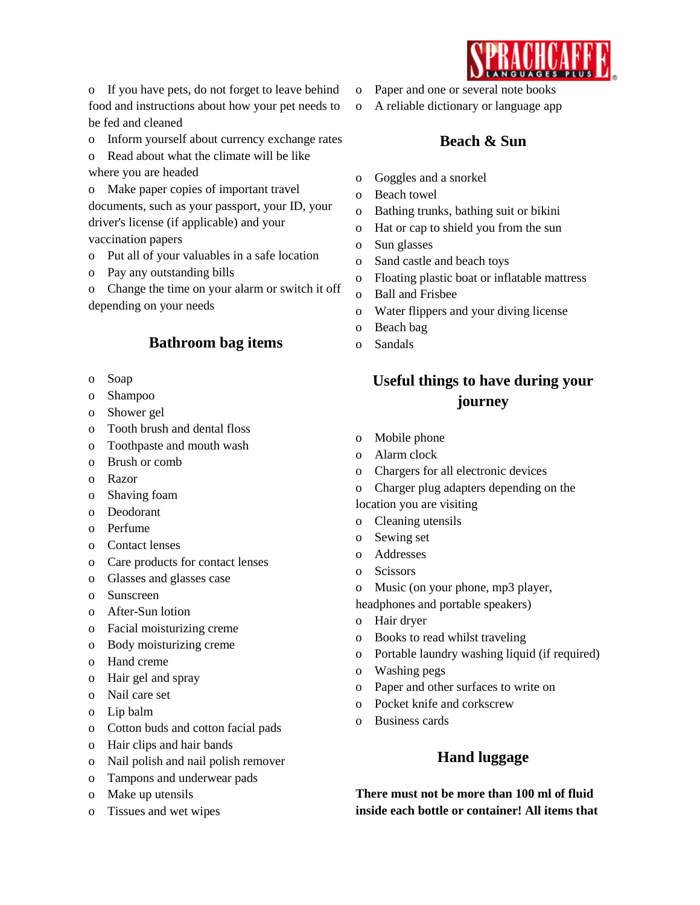o If you have pets, do not forget to leave behind food and instructions about how your pet needs to be fed and cleaned

o Inform yourself about currency exchange rates

o Read about what the climate will be like where you are headed

o Make paper copies of important travel documents, such as your passport, your ID, your driver's license (if applicable) and your vaccination papers

o Put all of your valuables in a safe location

o Pay any outstanding bills

o Change the time on your alarm or switch it off depending on your needs

## **Bathroom bag items**

- o Soap
- o Shampoo
- o Shower gel
- o Tooth brush and dental floss
- o Toothpaste and mouth wash
- o Brush or comb
- o Razor
- o Shaving foam
- o Deodorant
- o Perfume
- o Contact lenses
- o Care products for contact lenses
- o Glasses and glasses case
- o Sunscreen
- o After-Sun lotion
- o Facial moisturizing creme
- o Body moisturizing creme
- o Hand creme
- o Hair gel and spray
- o Nail care set
- o Lip balm
- o Cotton buds and cotton facial pads
- o Hair clips and hair bands
- o Nail polish and nail polish remover
- o Tampons and underwear pads
- o Make up utensils
- o Tissues and wet wipes
- o Paper and one or several note books
- o A reliable dictionary or language app

### **Beach & Sun**

- o Goggles and a snorkel
- o Beach towel
- o Bathing trunks, bathing suit or bikini
- o Hat or cap to shield you from the sun
- o Sun glasses
- o Sand castle and beach toys
- o Floating plastic boat or inflatable mattress
- o Ball and Frisbee
- o Water flippers and your diving license
- o Beach bag
- o Sandals

# **Useful things to have during your journey**

- o Mobile phone
- o Alarm clock
- o Chargers for all electronic devices
- o Charger plug adapters depending on the
- location you are visiting
- o Cleaning utensils
- o Sewing set
- o Addresses
- o Scissors
- o Music (on your phone, mp3 player,
- headphones and portable speakers)
- o Hair dryer
- o Books to read whilst traveling
- o Portable laundry washing liquid (if required)
- o Washing pegs
- o Paper and other surfaces to write on
- o Pocket knife and corkscrew
- o Business cards

### **Hand luggage**

**There must not be more than 100 ml of fluid inside each bottle or container! All items that**